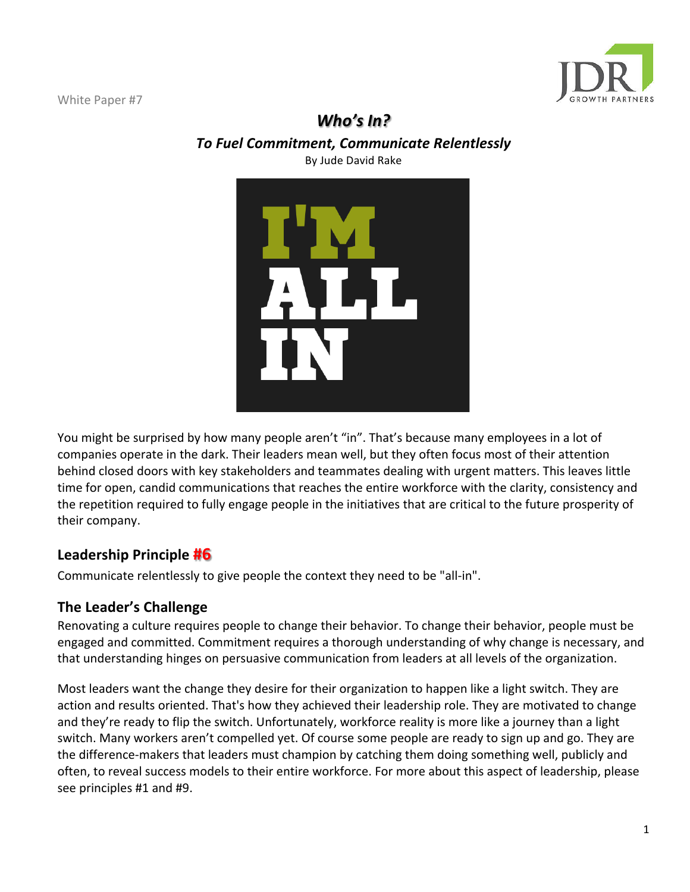

## Who's In? *To Fuel Commitment, Communicate Relentlessly* By Jude David Rake



You might be surprised by how many people aren't "in". That's because many employees in a lot of companies operate in the dark. Their leaders mean well, but they often focus most of their attention behind closed doors with key stakeholders and teammates dealing with urgent matters. This leaves little time for open, candid communications that reaches the entire workforce with the clarity, consistency and the repetition required to fully engage people in the initiatives that are critical to the future prosperity of their company.

# **Leadership Principle #6**

Communicate relentlessly to give people the context they need to be "all-in".

# **The Leader's Challenge**

Renovating a culture requires people to change their behavior. To change their behavior, people must be engaged and committed. Commitment requires a thorough understanding of why change is necessary, and that understanding hinges on persuasive communication from leaders at all levels of the organization.

Most leaders want the change they desire for their organization to happen like a light switch. They are action and results oriented. That's how they achieved their leadership role. They are motivated to change and they're ready to flip the switch. Unfortunately, workforce reality is more like a journey than a light switch. Many workers aren't compelled yet. Of course some people are ready to sign up and go. They are the difference-makers that leaders must champion by catching them doing something well, publicly and often, to reveal success models to their entire workforce. For more about this aspect of leadership, please see principles #1 and #9.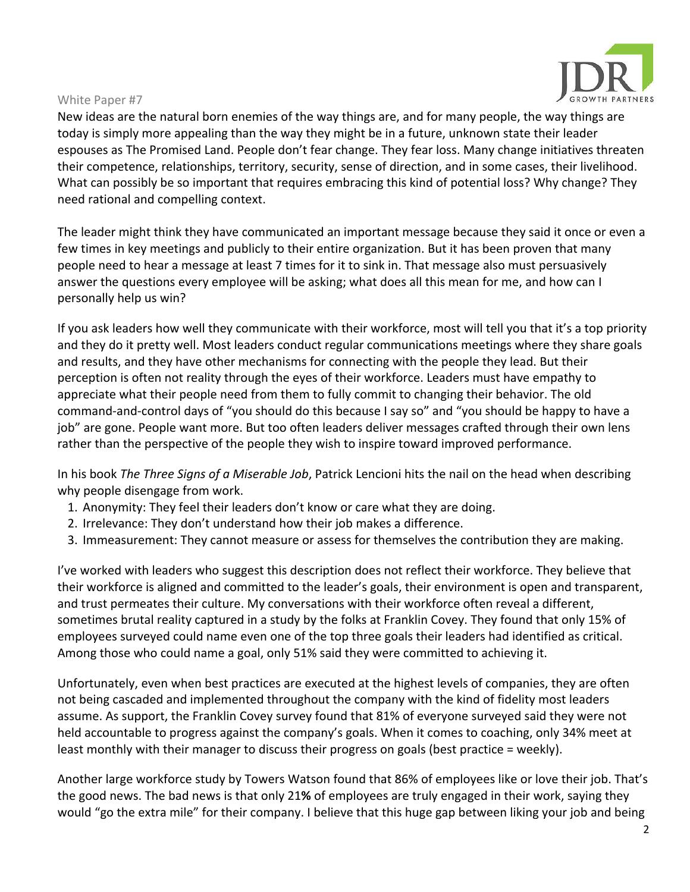

New ideas are the natural born enemies of the way things are, and for many people, the way things are today is simply more appealing than the way they might be in a future, unknown state their leader espouses as The Promised Land. People don't fear change. They fear loss. Many change initiatives threaten their competence, relationships, territory, security, sense of direction, and in some cases, their livelihood. What can possibly be so important that requires embracing this kind of potential loss? Why change? They need rational and compelling context.

The leader might think they have communicated an important message because they said it once or even a few times in key meetings and publicly to their entire organization. But it has been proven that many people need to hear a message at least 7 times for it to sink in. That message also must persuasively answer the questions every employee will be asking; what does all this mean for me, and how can I personally help us win?

If you ask leaders how well they communicate with their workforce, most will tell you that it's a top priority and they do it pretty well. Most leaders conduct regular communications meetings where they share goals and results, and they have other mechanisms for connecting with the people they lead. But their perception is often not reality through the eyes of their workforce. Leaders must have empathy to appreciate what their people need from them to fully commit to changing their behavior. The old command-and-control days of "you should do this because I say so" and "you should be happy to have a job" are gone. People want more. But too often leaders deliver messages crafted through their own lens rather than the perspective of the people they wish to inspire toward improved performance.

In his book *The Three Signs of a Miserable Job*, Patrick Lencioni hits the nail on the head when describing why people disengage from work.

- 1. Anonymity: They feel their leaders don't know or care what they are doing.
- 2. Irrelevance: They don't understand how their job makes a difference.
- 3. Immeasurement: They cannot measure or assess for themselves the contribution they are making.

I've worked with leaders who suggest this description does not reflect their workforce. They believe that their workforce is aligned and committed to the leader's goals, their environment is open and transparent, and trust permeates their culture. My conversations with their workforce often reveal a different, sometimes brutal reality captured in a study by the folks at Franklin Covey. They found that only 15% of employees surveyed could name even one of the top three goals their leaders had identified as critical. Among those who could name a goal, only 51% said they were committed to achieving it.

Unfortunately, even when best practices are executed at the highest levels of companies, they are often not being cascaded and implemented throughout the company with the kind of fidelity most leaders assume. As support, the Franklin Covey survey found that 81% of everyone surveyed said they were not held accountable to progress against the company's goals. When it comes to coaching, only 34% meet at least monthly with their manager to discuss their progress on goals (best practice = weekly).

Another large workforce study by Towers Watson found that 86% of employees like or love their job. That's the good news. The bad news is that only 21% of employees are truly engaged in their work, saying they would "go the extra mile" for their company. I believe that this huge gap between liking your job and being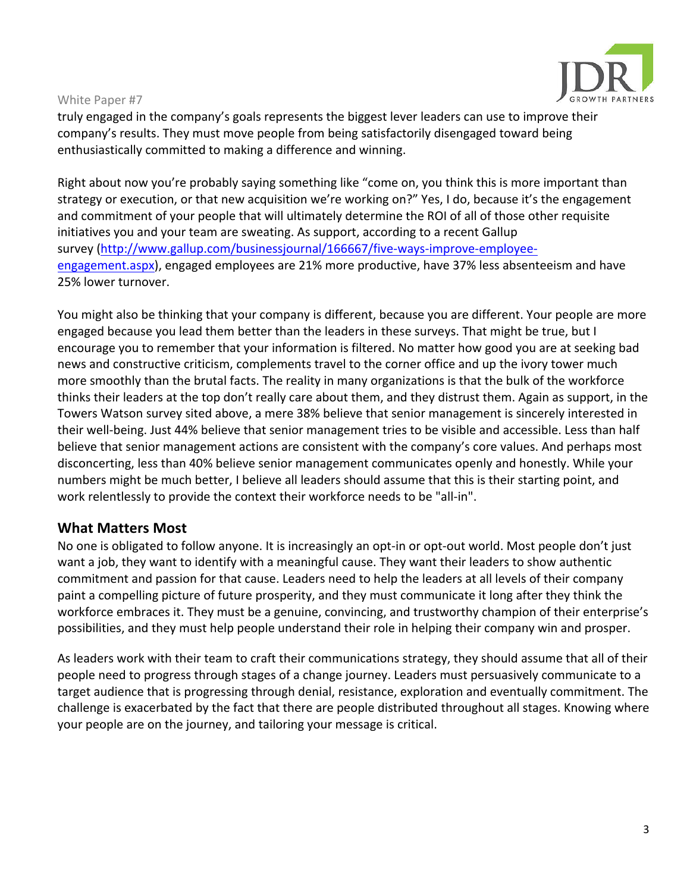

truly engaged in the company's goals represents the biggest lever leaders can use to improve their company's results. They must move people from being satisfactorily disengaged toward being enthusiastically committed to making a difference and winning.

Right about now you're probably saying something like "come on, you think this is more important than strategy or execution, or that new acquisition we're working on?" Yes, I do, because it's the engagement and commitment of your people that will ultimately determine the ROI of all of those other requisite initiatives you and your team are sweating. As support, according to a recent Gallup survey (http://www.gallup.com/businessjournal/166667/five-ways-improve-employeeengagement.aspx), engaged employees are 21% more productive, have 37% less absenteeism and have 25% lower turnover.

You might also be thinking that your company is different, because you are different. Your people are more engaged because you lead them better than the leaders in these surveys. That might be true, but I encourage you to remember that your information is filtered. No matter how good you are at seeking bad news and constructive criticism, complements travel to the corner office and up the ivory tower much more smoothly than the brutal facts. The reality in many organizations is that the bulk of the workforce thinks their leaders at the top don't really care about them, and they distrust them. Again as support, in the Towers Watson survey sited above, a mere 38% believe that senior management is sincerely interested in their well-being. Just 44% believe that senior management tries to be visible and accessible. Less than half believe that senior management actions are consistent with the company's core values. And perhaps most disconcerting, less than 40% believe senior management communicates openly and honestly. While your numbers might be much better, I believe all leaders should assume that this is their starting point, and work relentlessly to provide the context their workforce needs to be "all-in".

## **What Matters Most**

No one is obligated to follow anyone. It is increasingly an opt-in or opt-out world. Most people don't just want a job, they want to identify with a meaningful cause. They want their leaders to show authentic commitment and passion for that cause. Leaders need to help the leaders at all levels of their company paint a compelling picture of future prosperity, and they must communicate it long after they think the workforce embraces it. They must be a genuine, convincing, and trustworthy champion of their enterprise's possibilities, and they must help people understand their role in helping their company win and prosper.

As leaders work with their team to craft their communications strategy, they should assume that all of their people need to progress through stages of a change journey. Leaders must persuasively communicate to a target audience that is progressing through denial, resistance, exploration and eventually commitment. The challenge is exacerbated by the fact that there are people distributed throughout all stages. Knowing where your people are on the journey, and tailoring your message is critical.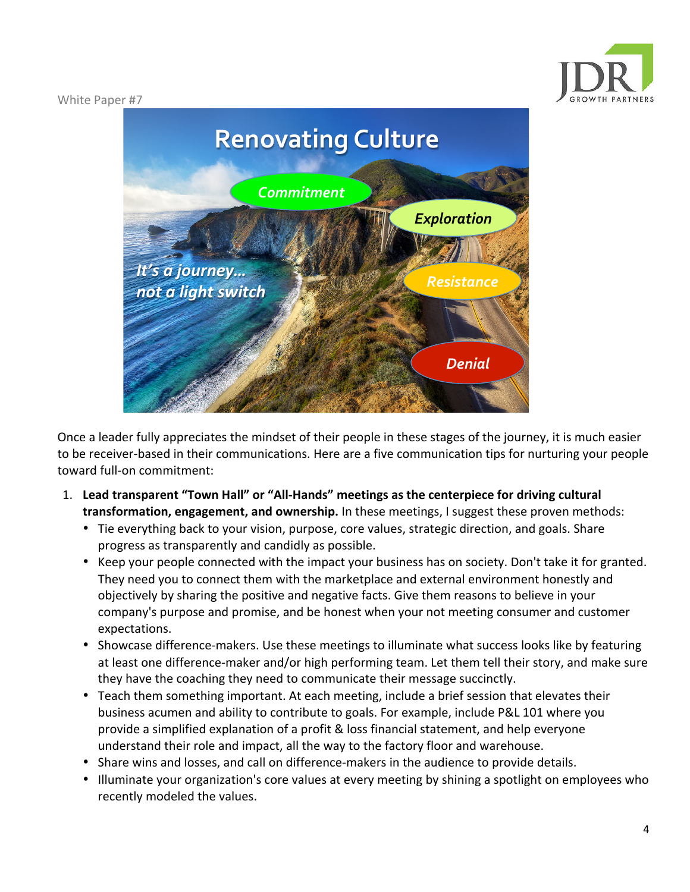



Once a leader fully appreciates the mindset of their people in these stages of the journey, it is much easier to be receiver-based in their communications. Here are a five communication tips for nurturing your people toward full-on commitment:

- 1. Lead transparent "Town Hall" or "All-Hands" meetings as the centerpiece for driving cultural **transformation, engagement, and ownership.** In these meetings, I suggest these proven methods:
	- Tie everything back to your vision, purpose, core values, strategic direction, and goals. Share progress as transparently and candidly as possible.
	- Keep your people connected with the impact your business has on society. Don't take it for granted. They need you to connect them with the marketplace and external environment honestly and objectively by sharing the positive and negative facts. Give them reasons to believe in your company's purpose and promise, and be honest when your not meeting consumer and customer expectations.
	- Showcase difference-makers. Use these meetings to illuminate what success looks like by featuring at least one difference-maker and/or high performing team. Let them tell their story, and make sure they have the coaching they need to communicate their message succinctly.
	- Teach them something important. At each meeting, include a brief session that elevates their business acumen and ability to contribute to goals. For example, include P&L 101 where you provide a simplified explanation of a profit & loss financial statement, and help everyone understand their role and impact, all the way to the factory floor and warehouse.
	- Share wins and losses, and call on difference-makers in the audience to provide details.
	- Illuminate your organization's core values at every meeting by shining a spotlight on employees who recently modeled the values.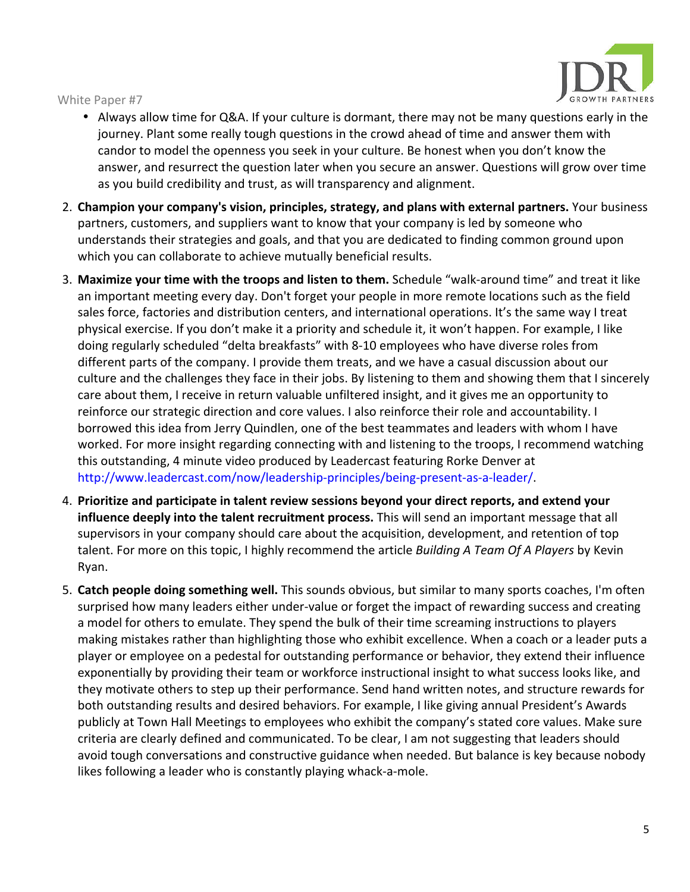

- Always allow time for Q&A. If your culture is dormant, there may not be many questions early in the journey. Plant some really tough questions in the crowd ahead of time and answer them with candor to model the openness you seek in your culture. Be honest when you don't know the answer, and resurrect the question later when you secure an answer. Questions will grow over time as you build credibility and trust, as will transparency and alignment.
- 2. **Champion your company's vision, principles, strategy, and plans with external partners.** Your business partners, customers, and suppliers want to know that your company is led by someone who understands their strategies and goals, and that you are dedicated to finding common ground upon which you can collaborate to achieve mutually beneficial results.
- 3. Maximize your time with the troops and listen to them. Schedule "walk-around time" and treat it like an important meeting every day. Don't forget your people in more remote locations such as the field sales force, factories and distribution centers, and international operations. It's the same way I treat physical exercise. If you don't make it a priority and schedule it, it won't happen. For example, I like doing regularly scheduled "delta breakfasts" with 8-10 employees who have diverse roles from different parts of the company. I provide them treats, and we have a casual discussion about our culture and the challenges they face in their jobs. By listening to them and showing them that I sincerely care about them, I receive in return valuable unfiltered insight, and it gives me an opportunity to reinforce our strategic direction and core values. I also reinforce their role and accountability. I borrowed this idea from Jerry Quindlen, one of the best teammates and leaders with whom I have worked. For more insight regarding connecting with and listening to the troops, I recommend watching this outstanding, 4 minute video produced by Leadercast featuring Rorke Denver at http://www.leadercast.com/now/leadership-principles/being-present-as-a-leader/.
- 4. Prioritize and participate in talent review sessions beyond your direct reports, and extend your **influence deeply into the talent recruitment process.** This will send an important message that all supervisors in your company should care about the acquisition, development, and retention of top talent. For more on this topic, I highly recommend the article *Building A Team Of A Players* by Kevin Ryan.
- 5. **Catch people doing something well.** This sounds obvious, but similar to many sports coaches, I'm often surprised how many leaders either under-value or forget the impact of rewarding success and creating a model for others to emulate. They spend the bulk of their time screaming instructions to players making mistakes rather than highlighting those who exhibit excellence. When a coach or a leader puts a player or employee on a pedestal for outstanding performance or behavior, they extend their influence exponentially by providing their team or workforce instructional insight to what success looks like, and they motivate others to step up their performance. Send hand written notes, and structure rewards for both outstanding results and desired behaviors. For example, I like giving annual President's Awards publicly at Town Hall Meetings to employees who exhibit the company's stated core values. Make sure criteria are clearly defined and communicated. To be clear, I am not suggesting that leaders should avoid tough conversations and constructive guidance when needed. But balance is key because nobody likes following a leader who is constantly playing whack-a-mole.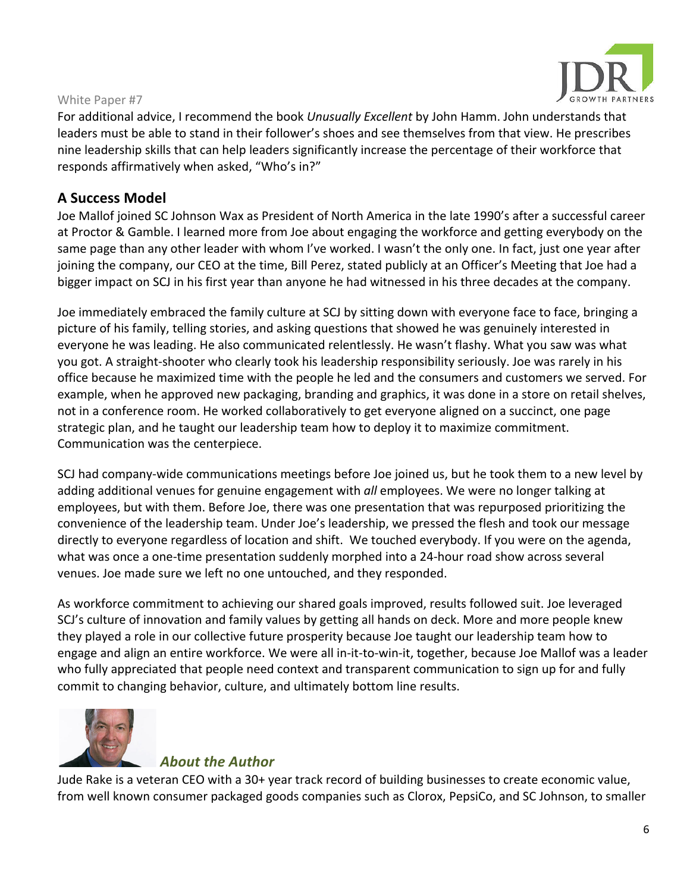

For additional advice, I recommend the book *Unusually Excellent* by John Hamm. John understands that leaders must be able to stand in their follower's shoes and see themselves from that view. He prescribes nine leadership skills that can help leaders significantly increase the percentage of their workforce that responds affirmatively when asked, "Who's in?"

## **A Success Model**

Joe Mallof joined SC Johnson Wax as President of North America in the late 1990's after a successful career at Proctor & Gamble. I learned more from Joe about engaging the workforce and getting everybody on the same page than any other leader with whom I've worked. I wasn't the only one. In fact, just one year after joining the company, our CEO at the time, Bill Perez, stated publicly at an Officer's Meeting that Joe had a bigger impact on SCJ in his first year than anyone he had witnessed in his three decades at the company.

Joe immediately embraced the family culture at SCJ by sitting down with everyone face to face, bringing a picture of his family, telling stories, and asking questions that showed he was genuinely interested in everyone he was leading. He also communicated relentlessly. He wasn't flashy. What you saw was what you got. A straight-shooter who clearly took his leadership responsibility seriously. Joe was rarely in his office because he maximized time with the people he led and the consumers and customers we served. For example, when he approved new packaging, branding and graphics, it was done in a store on retail shelves, not in a conference room. He worked collaboratively to get everyone aligned on a succinct, one page strategic plan, and he taught our leadership team how to deploy it to maximize commitment. Communication was the centerpiece.

SCJ had company-wide communications meetings before Joe joined us, but he took them to a new level by adding additional venues for genuine engagement with *all* employees. We were no longer talking at employees, but with them. Before Joe, there was one presentation that was repurposed prioritizing the convenience of the leadership team. Under Joe's leadership, we pressed the flesh and took our message directly to everyone regardless of location and shift. We touched everybody. If you were on the agenda, what was once a one-time presentation suddenly morphed into a 24-hour road show across several venues. Joe made sure we left no one untouched, and they responded.

As workforce commitment to achieving our shared goals improved, results followed suit. Joe leveraged SCJ's culture of innovation and family values by getting all hands on deck. More and more people knew they played a role in our collective future prosperity because Joe taught our leadership team how to engage and align an entire workforce. We were all in-it-to-win-it, together, because Joe Mallof was a leader who fully appreciated that people need context and transparent communication to sign up for and fully commit to changing behavior, culture, and ultimately bottom line results.



### **About the Author**

Jude Rake is a veteran CEO with a 30+ year track record of building businesses to create economic value, from well known consumer packaged goods companies such as Clorox, PepsiCo, and SC Johnson, to smaller